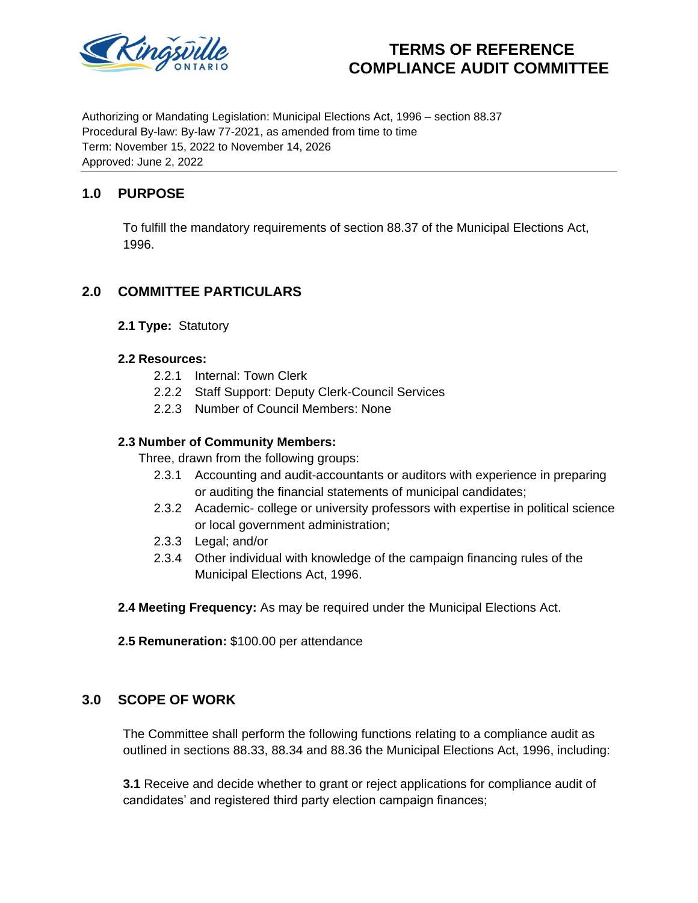

# **TERMS OF REFERENCE COMPLIANCE AUDIT COMMITTEE**

Authorizing or Mandating Legislation: Municipal Elections Act, 1996 – section 88.37 Procedural By-law: By-law 77-2021, as amended from time to time Term: November 15, 2022 to November 14, 2026 Approved: June 2, 2022

# **1.0 PURPOSE**

To fulfill the mandatory requirements of section 88.37 of the Municipal Elections Act, 1996.

# **2.0 COMMITTEE PARTICULARS**

**2.1 Type:** Statutory

#### **2.2 Resources:**

- 2.2.1 Internal: Town Clerk
- 2.2.2 Staff Support: Deputy Clerk-Council Services
- 2.2.3 Number of Council Members: None

### **2.3 Number of Community Members:**

Three, drawn from the following groups:

- 2.3.1 Accounting and audit-accountants or auditors with experience in preparing or auditing the financial statements of municipal candidates;
- 2.3.2 Academic- college or university professors with expertise in political science or local government administration;
- 2.3.3 Legal; and/or
- 2.3.4 Other individual with knowledge of the campaign financing rules of the Municipal Elections Act, 1996.

**2.4 Meeting Frequency:** As may be required under the Municipal Elections Act.

**2.5 Remuneration:** \$100.00 per attendance

## **3.0 SCOPE OF WORK**

The Committee shall perform the following functions relating to a compliance audit as outlined in sections 88.33, 88.34 and 88.36 the Municipal Elections Act, 1996, including:

**3.1** Receive and decide whether to grant or reject applications for compliance audit of candidates' and registered third party election campaign finances;